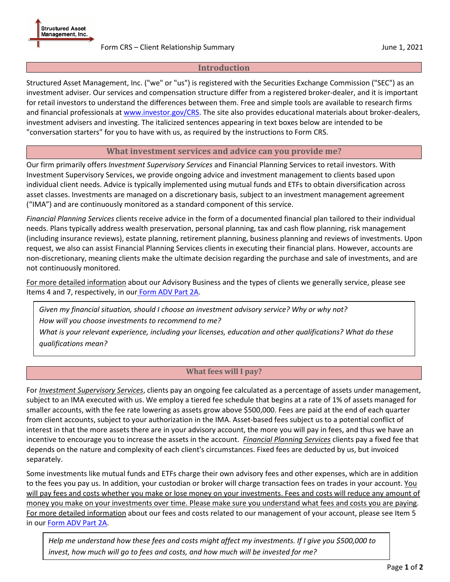### Form CRS – Client Relationship Summary June 1, 2021

## **Introduction**

Structured Asset Management, Inc. ("we" or "us") is registered with the Securities Exchange Commission ("SEC") as an investment adviser. Our services and compensation structure differ from a registered broker-dealer, and it is important for retail investors to understand the differences between them. Free and simple tools are available to research firms and financial professionals a[t www.investor.gov/CRS.](https://www.investor.gov/CRS) The site also provides educational materials about broker-dealers, investment advisers and investing. The italicized sentences appearing in text boxes below are intended to be "conversation starters" for you to have with us, as required by the instructions to Form CRS.

# **What investment services and advice can you provide me?**

Our firm primarily offers *Investment Supervisory Services* and Financial Planning Services to retail investors. With Investment Supervisory Services, we provide ongoing advice and investment management to clients based upon individual client needs. Advice is typically implemented using mutual funds and ETFs to obtain diversification across asset classes. Investments are managed on a discretionary basis, subject to an investment management agreement ("IMA") and are continuously monitored as a standard component of this service.

*Financial Planning Services* clients receive advice in the form of a documented financial plan tailored to their individual needs. Plans typically address wealth preservation, personal planning, tax and cash flow planning, risk management (including insurance reviews), estate planning, retirement planning, business planning and reviews of investments. Upon request, we also can assist Financial Planning Services clients in executing their financial plans. However, accounts are non-discretionary, meaning clients make the ultimate decision regarding the purchase and sale of investments, and are not continuously monitored.

For more detailed information about our Advisory Business and the types of clients we generally service, please see Items 4 and 7, respectively, in our [Form ADV Part 2A.](https://www.samasset.com/files/sam_adv2a_2021.pdf)

*Given my financial situation, should I choose an investment advisory service? Why or why not? How will you choose investments to recommend to me?*

*What is your relevant experience, including your licenses, education and other qualifications? What do these qualifications mean?*

## **What fees will I pay?**

For *Investment Supervisory Services*, clients pay an ongoing fee calculated as a percentage of assets under management, subject to an IMA executed with us. We employ a tiered fee schedule that begins at a rate of 1% of assets managed for smaller accounts, with the fee rate lowering as assets grow above \$500,000. Fees are paid at the end of each quarter from client accounts, subject to your authorization in the IMA. Asset-based fees subject us to a potential conflict of interest in that the more assets there are in your advisory account, the more you will pay in fees, and thus we have an incentive to encourage you to increase the assets in the account. *Financial Planning Services* clients pay a fixed fee that depends on the nature and complexity of each client's circumstances. Fixed fees are deducted by us, but invoiced separately.

Some investments like mutual funds and ETFs charge their own advisory fees and other expenses, which are in addition to the fees you pay us. In addition, your custodian or broker will charge transaction fees on trades in your account. You will pay fees and costs whether you make or lose money on your investments. Fees and costs will reduce any amount of money you make on your investments over time. Please make sure you understand what fees and costs you are paying. For more detailed information about our fees and costs related to our management of your account, please see Item 5 in ou[r Form ADV Part 2A.](https://www.samasset.com/files/sam_adv2a_2021.pdf)

*Help me understand how these fees and costs might affect my investments. If I give you \$500,000 to invest, how much will go to fees and costs, and how much will be invested for me?*